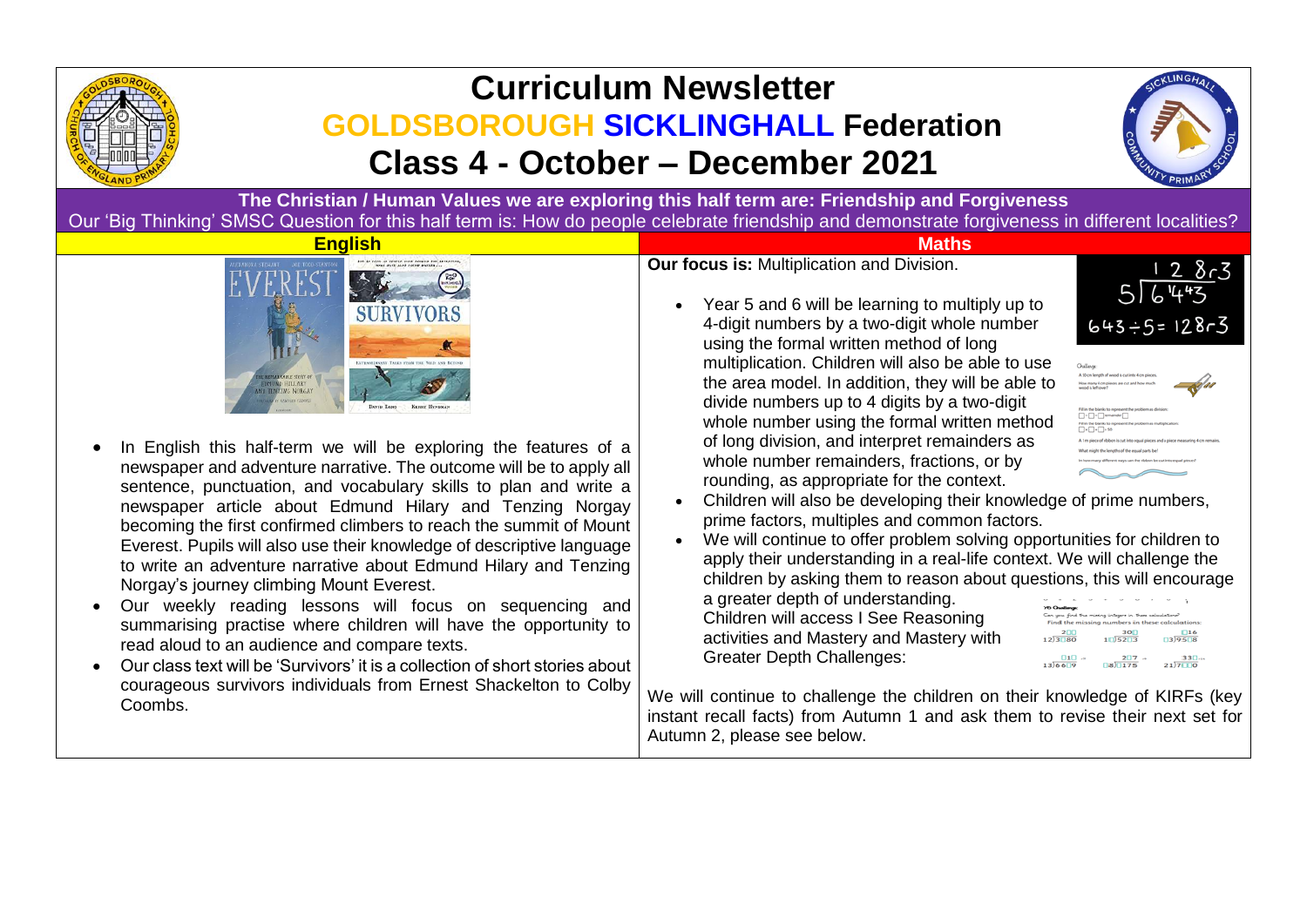

## **Curriculum Newsletter GOLDSBOROUGH SICKLINGHALL Federation Class 4 - October – December 2021**



**The Christian / Human Values we are exploring this half term are: Friendship and Forgiveness** Our 'Big Thinking' SMSC Question for this half term is: How do people celebrate friendship and demonstrate forgiveness in different localities?



- In English this half-term we will be exploring the features of a newspaper and adventure narrative. The outcome will be to apply all sentence, punctuation, and vocabulary skills to plan and write a newspaper article about Edmund Hilary and Tenzing Norgay becoming the first confirmed climbers to reach the summit of Mount Everest. Pupils will also use their knowledge of descriptive language to write an adventure narrative about Edmund Hilary and Tenzing Norgay's journey climbing Mount Everest.
- Our weekly reading lessons will focus on sequencing and summarising practise where children will have the opportunity to read aloud to an audience and compare texts.
- Our class text will be 'Survivors' it is a collection of short stories about courageous survivors individuals from Ernest Shackelton to Colby Coombs.

**Our focus is:** Multiplication and Division.

• Year 5 and 6 will be learning to multiply up to 4-digit numbers by a two-digit whole number using the formal written method of long multiplication. Children will also be able to use the area model. In addition, they will be able to divide numbers up to 4 digits by a two-digit whole number using the formal written method of long division, and interpret remainders as whole number remainders, fractions, or by rounding, as appropriate for the context.





- Children will also be developing their knowledge of prime numbers, prime factors, multiples and common factors.
- We will continue to offer problem solving opportunities for children to apply their understanding in a real-life context. We will challenge the children by asking them to reason about questions, this will encourage

a greater depth of understanding. Children will access I See Reasoning activities and Mastery and Mastery with Greater Depth Challenges:

|                                                         |                     |                 |  |  |                                  |                         |  | Ĩ.                     |
|---------------------------------------------------------|---------------------|-----------------|--|--|----------------------------------|-------------------------|--|------------------------|
|                                                         | <b>6 Challenge:</b> |                 |  |  |                                  |                         |  |                        |
| an you find the missing integers in these calculations? |                     |                 |  |  |                                  |                         |  |                        |
| Find the missing numbers in these calculations:         |                     |                 |  |  |                                  |                         |  |                        |
|                                                         | 2 <sub>0</sub>      |                 |  |  | 30 <sup>T</sup>                  |                         |  | $\square$ 16           |
|                                                         | 2)3180              |                 |  |  | 1 <sup>0</sup> 52 <sup>0</sup> 3 |                         |  | $\boxed{3}95\boxed{8}$ |
|                                                         |                     |                 |  |  |                                  |                         |  |                        |
|                                                         |                     | $\Box$ 1 $\Box$ |  |  |                                  | $2\overline{17}$ $\sim$ |  | $33$ $\Box$            |
|                                                         | $3)66 \square 9$    |                 |  |  | $\square$ 8) $\square$ 175       |                         |  | $21)7$ TO              |
|                                                         |                     |                 |  |  |                                  |                         |  |                        |

We will continue to challenge the children on their knowledge of KIRFs (key instant recall facts) from Autumn 1 and ask them to revise their next set for Autumn 2, please see below.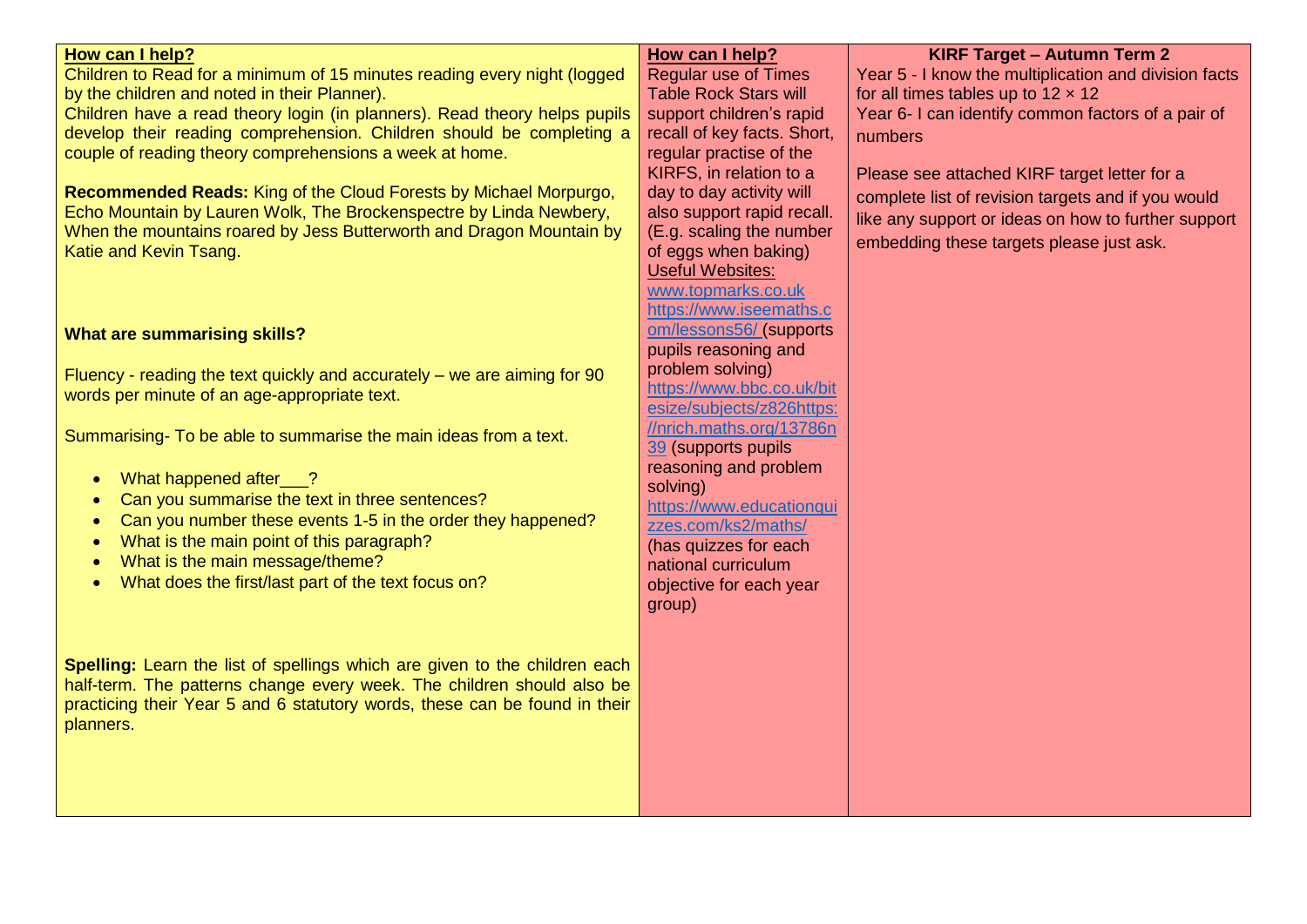| How can I help?                                                            | How can I help?              | <b>KIRF Target - Autumn Term 2</b>                    |
|----------------------------------------------------------------------------|------------------------------|-------------------------------------------------------|
| Children to Read for a minimum of 15 minutes reading every night (logged   | <b>Regular use of Times</b>  | Year 5 - I know the multiplication and division facts |
| by the children and noted in their Planner).                               | <b>Table Rock Stars will</b> | for all times tables up to $12 \times 12$             |
| Children have a read theory login (in planners). Read theory helps pupils  | support children's rapid     | Year 6- I can identify common factors of a pair of    |
| develop their reading comprehension. Children should be completing a       | recall of key facts. Short,  |                                                       |
| couple of reading theory comprehensions a week at home.                    | regular practise of the      | numbers                                               |
|                                                                            | KIRFS, in relation to a      |                                                       |
| Recommended Reads: King of the Cloud Forests by Michael Morpurgo,          | day to day activity will     | Please see attached KIRF target letter for a          |
| Echo Mountain by Lauren Wolk, The Brockenspectre by Linda Newbery,         | also support rapid recall.   | complete list of revision targets and if you would    |
| When the mountains roared by Jess Butterworth and Dragon Mountain by       | (E.g. scaling the number     | like any support or ideas on how to further support   |
| Katie and Kevin Tsang.                                                     | of eggs when baking)         | embedding these targets please just ask.              |
|                                                                            | <b>Useful Websites:</b>      |                                                       |
|                                                                            | www.topmarks.co.uk           |                                                       |
|                                                                            | https://www.iseemaths.c      |                                                       |
| <b>What are summarising skills?</b>                                        | om/lessons56/ (supports      |                                                       |
|                                                                            | pupils reasoning and         |                                                       |
|                                                                            | problem solving)             |                                                       |
| Fluency - reading the text quickly and accurately $-$ we are aiming for 90 | https://www.bbc.co.uk/bit    |                                                       |
| words per minute of an age-appropriate text.                               | esize/subjects/z826https:    |                                                       |
|                                                                            | //nrich.maths.org/13786n     |                                                       |
| Summarising- To be able to summarise the main ideas from a text.           | 39 (supports pupils          |                                                       |
|                                                                            | reasoning and problem        |                                                       |
| What happened after__?<br>$\bullet$                                        | solving)                     |                                                       |
| Can you summarise the text in three sentences?                             | https://www.educationqui     |                                                       |
| Can you number these events 1-5 in the order they happened?<br>$\bullet$   | zzes.com/ks2/maths/          |                                                       |
| What is the main point of this paragraph?<br>$\bullet$                     | (has quizzes for each        |                                                       |
| What is the main message/theme?                                            | national curriculum          |                                                       |
| What does the first/last part of the text focus on?                        | objective for each year      |                                                       |
|                                                                            | group)                       |                                                       |
|                                                                            |                              |                                                       |
|                                                                            |                              |                                                       |
| Spelling: Learn the list of spellings which are given to the children each |                              |                                                       |
| half-term. The patterns change every week. The children should also be     |                              |                                                       |
| practicing their Year 5 and 6 statutory words, these can be found in their |                              |                                                       |
| planners.                                                                  |                              |                                                       |
|                                                                            |                              |                                                       |
|                                                                            |                              |                                                       |
|                                                                            |                              |                                                       |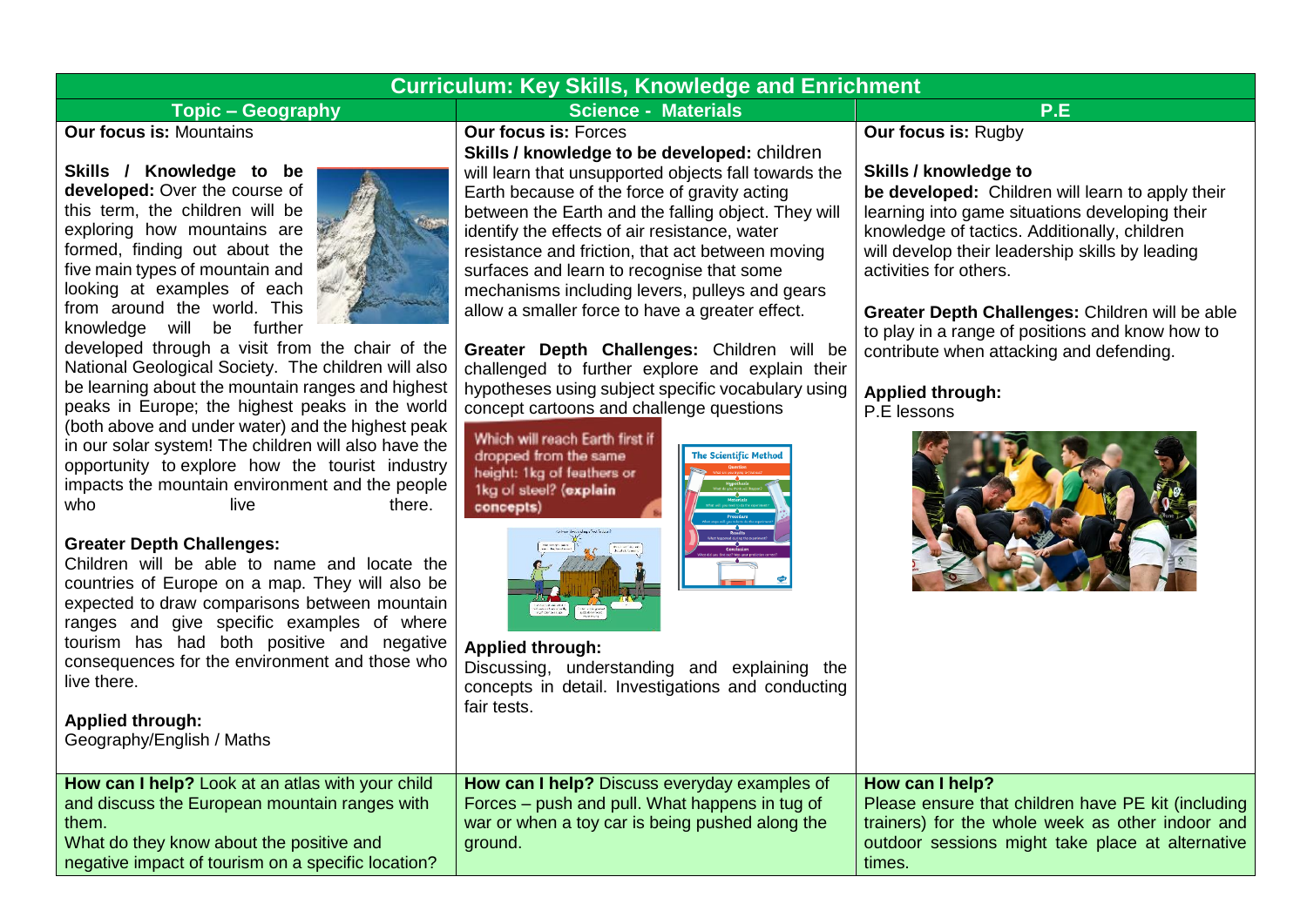|                                                                                                                                                                                                                                                                                                                                                                                                                                                                                                                                                                                                                                                                                                                                                                                                                                                                                                                                                                                                                                                                                                                                                                                                          | <b>Curriculum: Key Skills, Knowledge and Enrichment</b>                                                                                                                                                                                                                                                                                                                                                                                                                                                                                                                                                                                                                                                                                                                                                                                                                                                                                                                                                                          |                                                                                                                                                                                                                                                                                                                                                                                                                                                                                    |  |
|----------------------------------------------------------------------------------------------------------------------------------------------------------------------------------------------------------------------------------------------------------------------------------------------------------------------------------------------------------------------------------------------------------------------------------------------------------------------------------------------------------------------------------------------------------------------------------------------------------------------------------------------------------------------------------------------------------------------------------------------------------------------------------------------------------------------------------------------------------------------------------------------------------------------------------------------------------------------------------------------------------------------------------------------------------------------------------------------------------------------------------------------------------------------------------------------------------|----------------------------------------------------------------------------------------------------------------------------------------------------------------------------------------------------------------------------------------------------------------------------------------------------------------------------------------------------------------------------------------------------------------------------------------------------------------------------------------------------------------------------------------------------------------------------------------------------------------------------------------------------------------------------------------------------------------------------------------------------------------------------------------------------------------------------------------------------------------------------------------------------------------------------------------------------------------------------------------------------------------------------------|------------------------------------------------------------------------------------------------------------------------------------------------------------------------------------------------------------------------------------------------------------------------------------------------------------------------------------------------------------------------------------------------------------------------------------------------------------------------------------|--|
| <b>Topic - Geography</b>                                                                                                                                                                                                                                                                                                                                                                                                                                                                                                                                                                                                                                                                                                                                                                                                                                                                                                                                                                                                                                                                                                                                                                                 | <b>Science - Materials</b>                                                                                                                                                                                                                                                                                                                                                                                                                                                                                                                                                                                                                                                                                                                                                                                                                                                                                                                                                                                                       | P.E                                                                                                                                                                                                                                                                                                                                                                                                                                                                                |  |
| <b>Our focus is: Mountains</b><br>Skills / Knowledge to be<br>developed: Over the course of<br>this term, the children will be<br>exploring how mountains are<br>formed, finding out about the<br>five main types of mountain and<br>looking at examples of each<br>from around the world. This<br>knowledge will be further<br>developed through a visit from the chair of the<br>National Geological Society. The children will also<br>be learning about the mountain ranges and highest<br>peaks in Europe; the highest peaks in the world<br>(both above and under water) and the highest peak<br>in our solar system! The children will also have the<br>opportunity to explore how the tourist industry<br>impacts the mountain environment and the people<br>who<br>live.<br>there.<br><b>Greater Depth Challenges:</b><br>Children will be able to name and locate the<br>countries of Europe on a map. They will also be<br>expected to draw comparisons between mountain<br>ranges and give specific examples of where<br>tourism has had both positive and negative<br>consequences for the environment and those who<br>live there.<br><b>Applied through:</b><br>Geography/English / Maths | <b>Our focus is: Forces</b><br>Skills / knowledge to be developed: children<br>will learn that unsupported objects fall towards the<br>Earth because of the force of gravity acting<br>between the Earth and the falling object. They will<br>identify the effects of air resistance, water<br>resistance and friction, that act between moving<br>surfaces and learn to recognise that some<br>mechanisms including levers, pulleys and gears<br>allow a smaller force to have a greater effect.<br>Greater Depth Challenges: Children will be<br>challenged to further explore and explain their<br>hypotheses using subject specific vocabulary using<br>concept cartoons and challenge questions<br>Which will reach Earth first if<br>dropped from the same<br>The Scientific Method<br>height: 1kg of feathers or<br>1kg of steel? (explain<br>concepts)<br>Thus at the att<br><b>Applied through:</b><br>Discussing, understanding and explaining the<br>concepts in detail. Investigations and conducting<br>fair tests. | <b>Our focus is: Rugby</b><br>Skills / knowledge to<br>be developed: Children will learn to apply their<br>learning into game situations developing their<br>knowledge of tactics. Additionally, children<br>will develop their leadership skills by leading<br>activities for others.<br>Greater Depth Challenges: Children will be able<br>to play in a range of positions and know how to<br>contribute when attacking and defending.<br><b>Applied through:</b><br>P.E lessons |  |
| How can I help? Look at an atlas with your child<br>and discuss the European mountain ranges with<br>them.<br>What do they know about the positive and<br>negative impact of tourism on a specific location?                                                                                                                                                                                                                                                                                                                                                                                                                                                                                                                                                                                                                                                                                                                                                                                                                                                                                                                                                                                             | How can I help? Discuss everyday examples of<br>Forces – push and pull. What happens in tug of<br>war or when a toy car is being pushed along the<br>ground.                                                                                                                                                                                                                                                                                                                                                                                                                                                                                                                                                                                                                                                                                                                                                                                                                                                                     | How can I help?<br>Please ensure that children have PE kit (including<br>trainers) for the whole week as other indoor and<br>outdoor sessions might take place at alternative<br>times.                                                                                                                                                                                                                                                                                            |  |
|                                                                                                                                                                                                                                                                                                                                                                                                                                                                                                                                                                                                                                                                                                                                                                                                                                                                                                                                                                                                                                                                                                                                                                                                          |                                                                                                                                                                                                                                                                                                                                                                                                                                                                                                                                                                                                                                                                                                                                                                                                                                                                                                                                                                                                                                  |                                                                                                                                                                                                                                                                                                                                                                                                                                                                                    |  |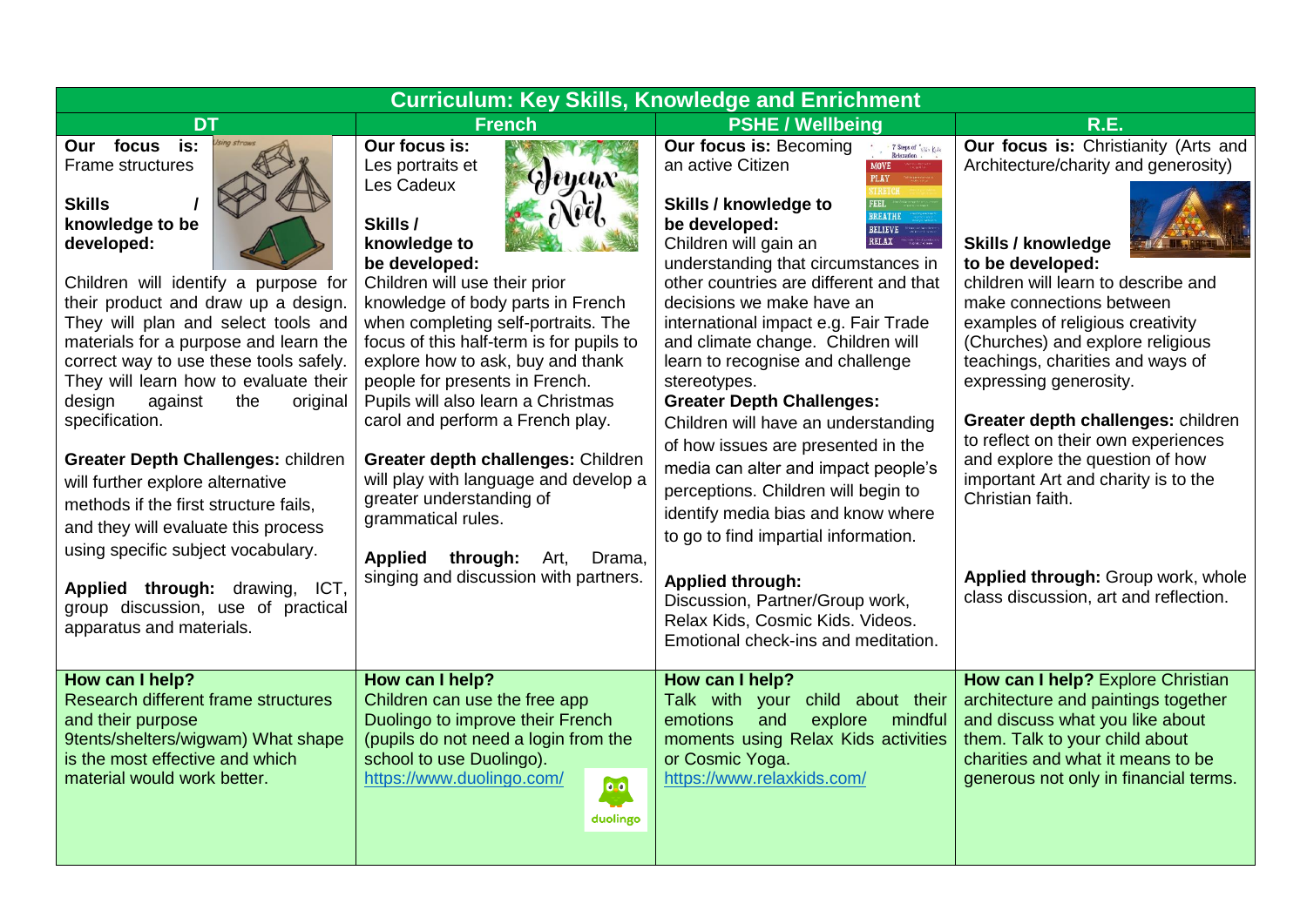| <b>Curriculum: Key Skills, Knowledge and Enrichment</b>                                                                                                                                                                                                                                                                                                                                                                                                                                                                                                             |                                                                                                                                                                                                                                                                                                                                                                                                                                                                                                                                                         |                                                                                                                                                                                                                                                                                                                                                                                                                                                                                                                                                                                                                                                                                                                                                                                 |                                                                                                                                                                                                                                                                                                                                                                                                                                                                                                                   |  |  |
|---------------------------------------------------------------------------------------------------------------------------------------------------------------------------------------------------------------------------------------------------------------------------------------------------------------------------------------------------------------------------------------------------------------------------------------------------------------------------------------------------------------------------------------------------------------------|---------------------------------------------------------------------------------------------------------------------------------------------------------------------------------------------------------------------------------------------------------------------------------------------------------------------------------------------------------------------------------------------------------------------------------------------------------------------------------------------------------------------------------------------------------|---------------------------------------------------------------------------------------------------------------------------------------------------------------------------------------------------------------------------------------------------------------------------------------------------------------------------------------------------------------------------------------------------------------------------------------------------------------------------------------------------------------------------------------------------------------------------------------------------------------------------------------------------------------------------------------------------------------------------------------------------------------------------------|-------------------------------------------------------------------------------------------------------------------------------------------------------------------------------------------------------------------------------------------------------------------------------------------------------------------------------------------------------------------------------------------------------------------------------------------------------------------------------------------------------------------|--|--|
| <b>DT</b>                                                                                                                                                                                                                                                                                                                                                                                                                                                                                                                                                           | <b>French</b>                                                                                                                                                                                                                                                                                                                                                                                                                                                                                                                                           | <b>PSHE / Wellbeing</b>                                                                                                                                                                                                                                                                                                                                                                                                                                                                                                                                                                                                                                                                                                                                                         | R.E.                                                                                                                                                                                                                                                                                                                                                                                                                                                                                                              |  |  |
| is:<br>Our focus<br>Frame structures<br><b>Skills</b><br>knowledge to be<br>developed:<br>Children will identify a purpose for<br>their product and draw up a design.<br>They will plan and select tools and<br>materials for a purpose and learn the<br>correct way to use these tools safely.<br>They will learn how to evaluate their<br>design<br>against<br>the<br>original<br>specification.<br><b>Greater Depth Challenges: children</b><br>will further explore alternative<br>methods if the first structure fails,<br>and they will evaluate this process | Our focus is:<br>Les portraits et<br>$Q$ eyen $x$<br>Les Cadeux<br>Skills /<br>knowledge to<br>be developed:<br>Children will use their prior<br>knowledge of body parts in French<br>when completing self-portraits. The<br>focus of this half-term is for pupils to<br>explore how to ask, buy and thank<br>people for presents in French.<br>Pupils will also learn a Christmas<br>carol and perform a French play.<br>Greater depth challenges: Children<br>will play with language and develop a<br>greater understanding of<br>grammatical rules. | <b>Our focus is: Becoming</b><br>$\frac{1}{2}$ 7 Steps of $\frac{1}{2}$ relax $k$ de Relaxation<br>an active Citizen<br><b>PLAY</b><br>Skills / knowledge to<br><b>BREATHE</b><br>be developed:<br><b>BELIEVE</b><br>RELAX<br>Children will gain an<br>understanding that circumstances in<br>other countries are different and that<br>decisions we make have an<br>international impact e.g. Fair Trade<br>and climate change. Children will<br>learn to recognise and challenge<br>stereotypes.<br><b>Greater Depth Challenges:</b><br>Children will have an understanding<br>of how issues are presented in the<br>media can alter and impact people's<br>perceptions. Children will begin to<br>identify media bias and know where<br>to go to find impartial information. | Our focus is: Christianity (Arts and<br>Architecture/charity and generosity)<br><b>Skills / knowledge</b><br>to be developed:<br>children will learn to describe and<br>make connections between<br>examples of religious creativity<br>(Churches) and explore religious<br>teachings, charities and ways of<br>expressing generosity.<br>Greater depth challenges: children<br>to reflect on their own experiences<br>and explore the question of how<br>important Art and charity is to the<br>Christian faith. |  |  |
| using specific subject vocabulary.<br>Applied through: drawing,<br>ICT.<br>group discussion, use of practical<br>apparatus and materials.                                                                                                                                                                                                                                                                                                                                                                                                                           | <b>Applied</b><br>through:<br>Art,<br>Drama,<br>singing and discussion with partners.                                                                                                                                                                                                                                                                                                                                                                                                                                                                   | <b>Applied through:</b><br>Discussion, Partner/Group work,<br>Relax Kids, Cosmic Kids. Videos.<br>Emotional check-ins and meditation.                                                                                                                                                                                                                                                                                                                                                                                                                                                                                                                                                                                                                                           | Applied through: Group work, whole<br>class discussion, art and reflection.                                                                                                                                                                                                                                                                                                                                                                                                                                       |  |  |
| How can I help?<br>Research different frame structures<br>and their purpose<br>9tents/shelters/wigwam) What shape<br>is the most effective and which<br>material would work better.                                                                                                                                                                                                                                                                                                                                                                                 | How can I help?<br>Children can use the free app<br>Duolingo to improve their French<br>(pupils do not need a login from the<br>school to use Duolingo).<br>https://www.duolingo.com/<br>$\bullet$ .<br>duolingo                                                                                                                                                                                                                                                                                                                                        | How can I help?<br>Talk with your<br>child about their<br>mindful<br>emotions<br>and<br>explore<br>moments using Relax Kids activities<br>or Cosmic Yoga.<br>https://www.relaxkids.com/                                                                                                                                                                                                                                                                                                                                                                                                                                                                                                                                                                                         | How can I help? Explore Christian<br>architecture and paintings together<br>and discuss what you like about<br>them. Talk to your child about<br>charities and what it means to be<br>generous not only in financial terms.                                                                                                                                                                                                                                                                                       |  |  |